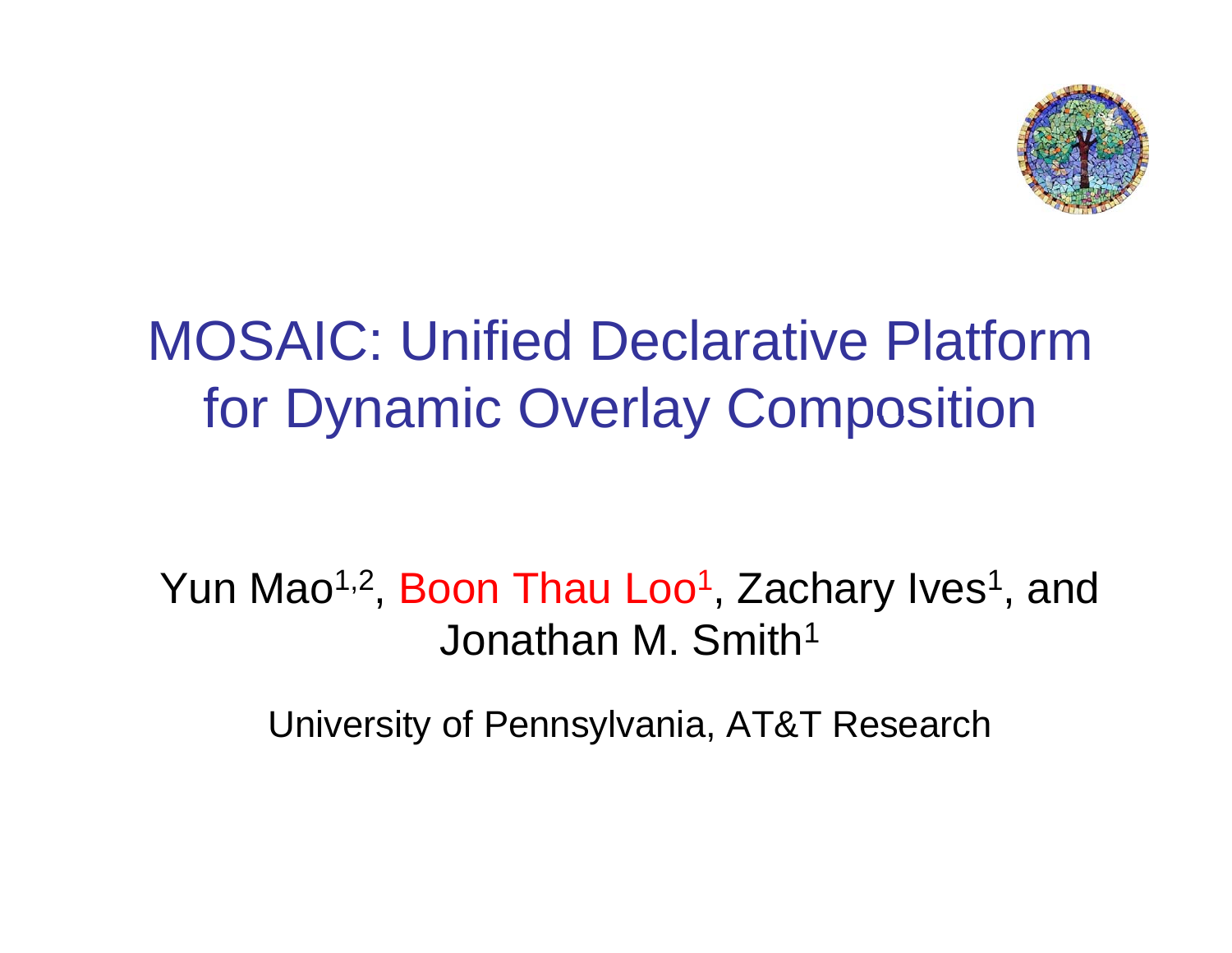

### MOSAIC: Unified Declarative Platform for Dynamic Overlay Composition

Yun Mao<sup>1,2</sup>, Boon Thau Loo<sup>1</sup>, Zachary Ives<sup>1</sup>, and Jonathan M. Smith<sup>1</sup>

University of Pennsylvania, AT&T Research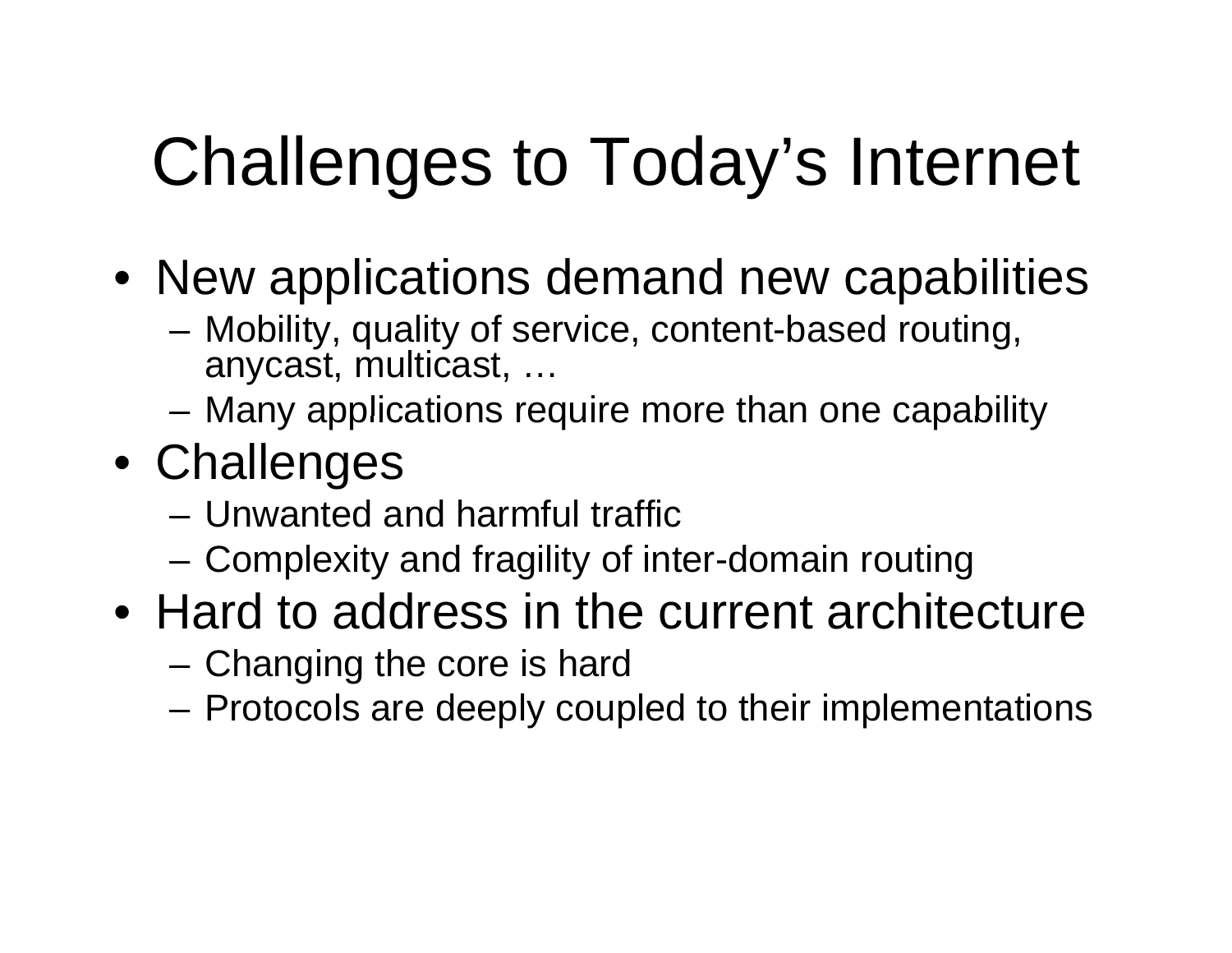# Challenges to Today's Internet

- $\bullet\,$  New applications demand new capabilities
	- Mobility, quality of service, content-based routing, anycast, multicast, …
	- $-$  Many applications require more than one capability
- Challenges
	- Unwanted and harmful traffic
	- Complexity and fragility of inter-domain routing
- Hard to address in the current architecture
	- Changing the core is hard
	- Protocols are deeply coupled to their implementations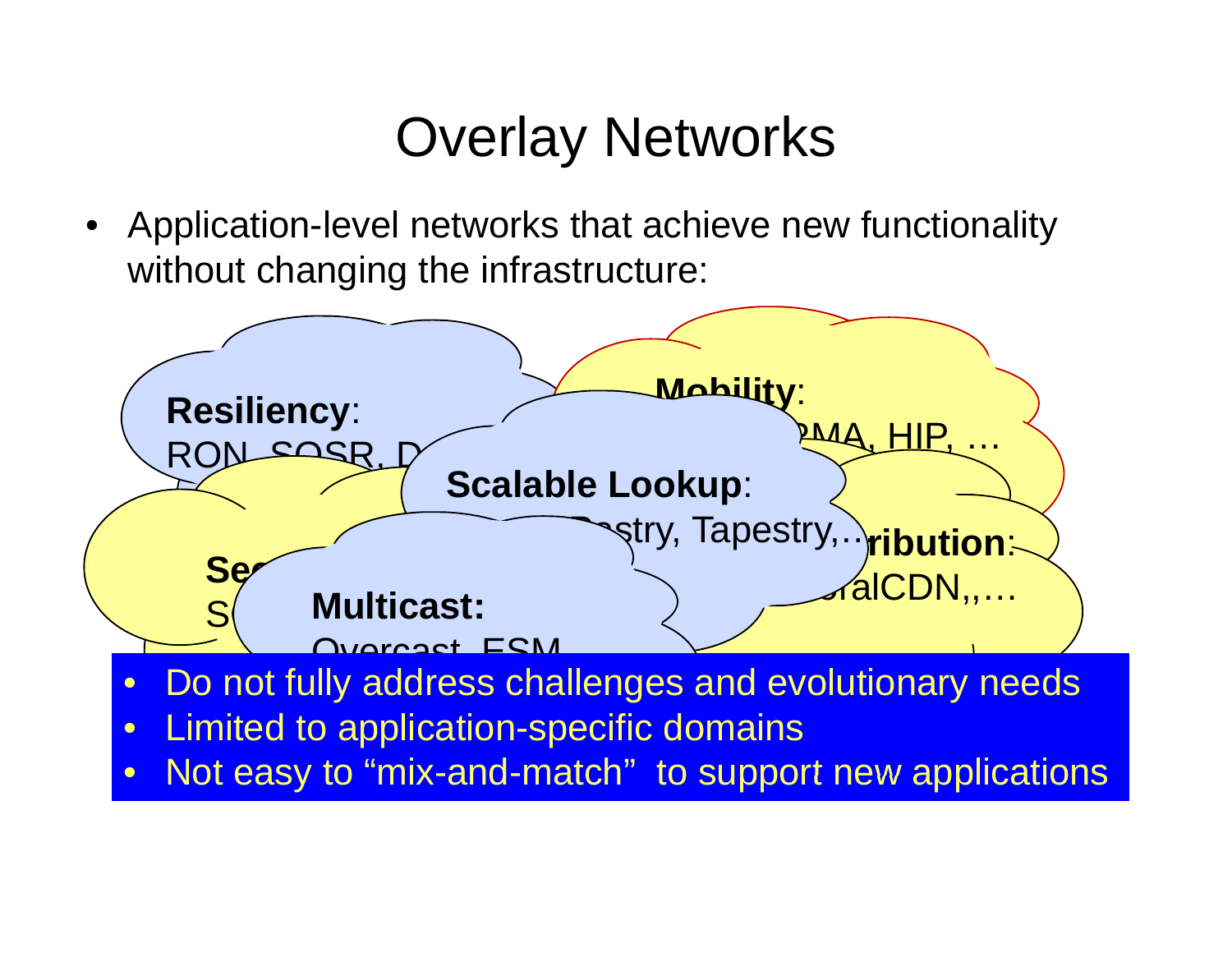### Overlay Networks

• Application-level networks that achieve new functionality without changing the infrastructure:



 $\bullet$ • Not easy to "mix-and-match t easy to "mix-and-match" to support new applications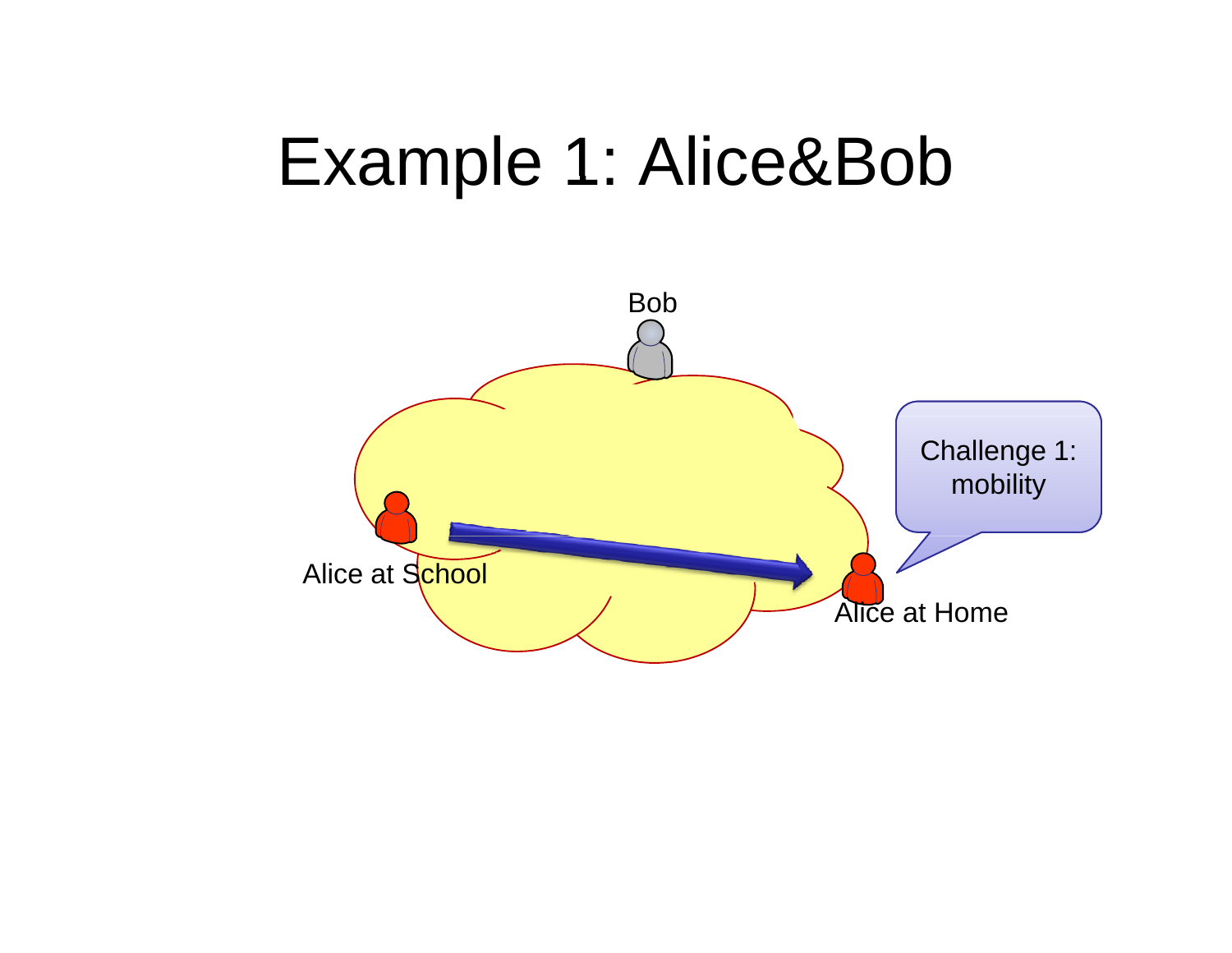## Example 1: Alice&Bob

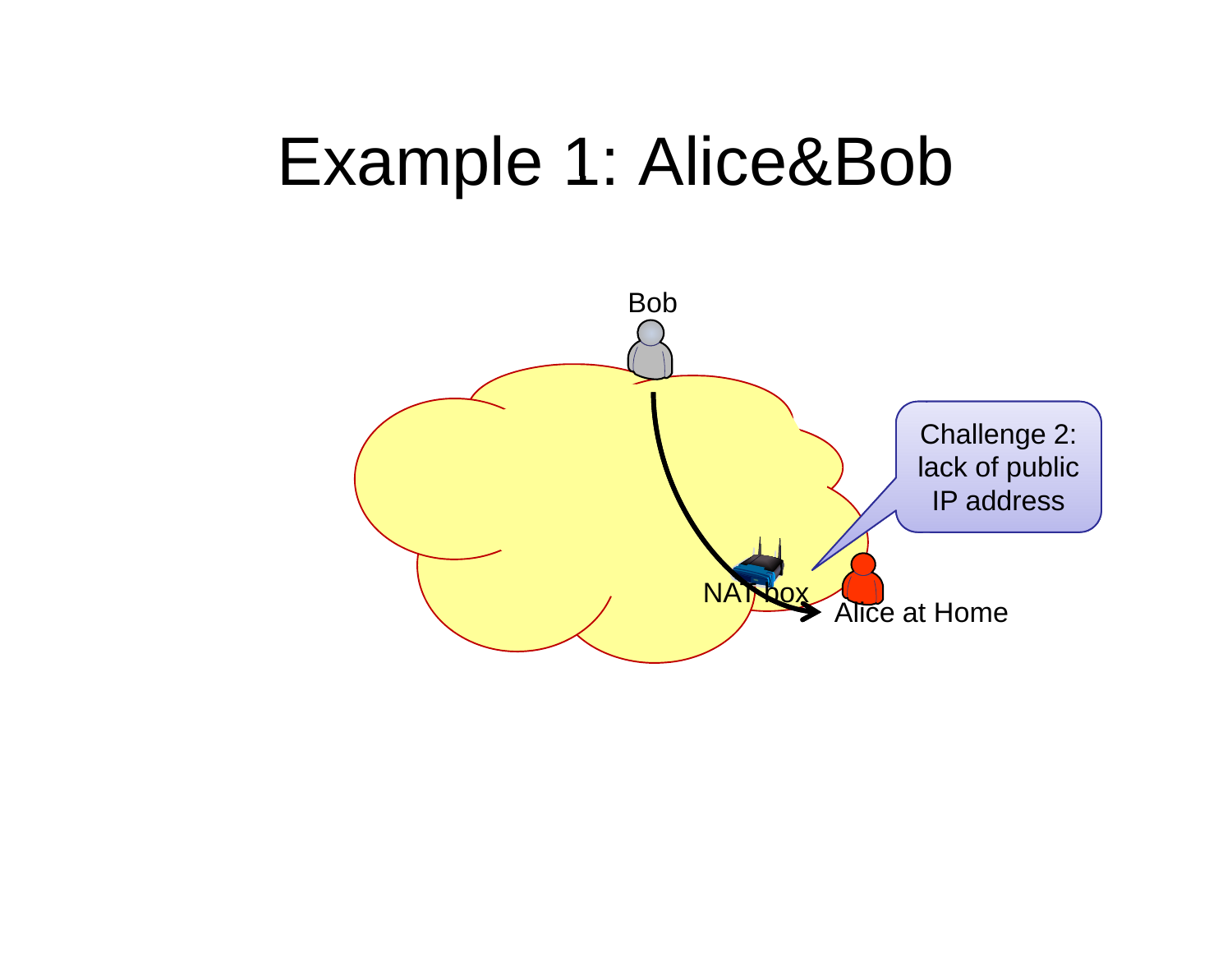## Example 1: Alice&Bob

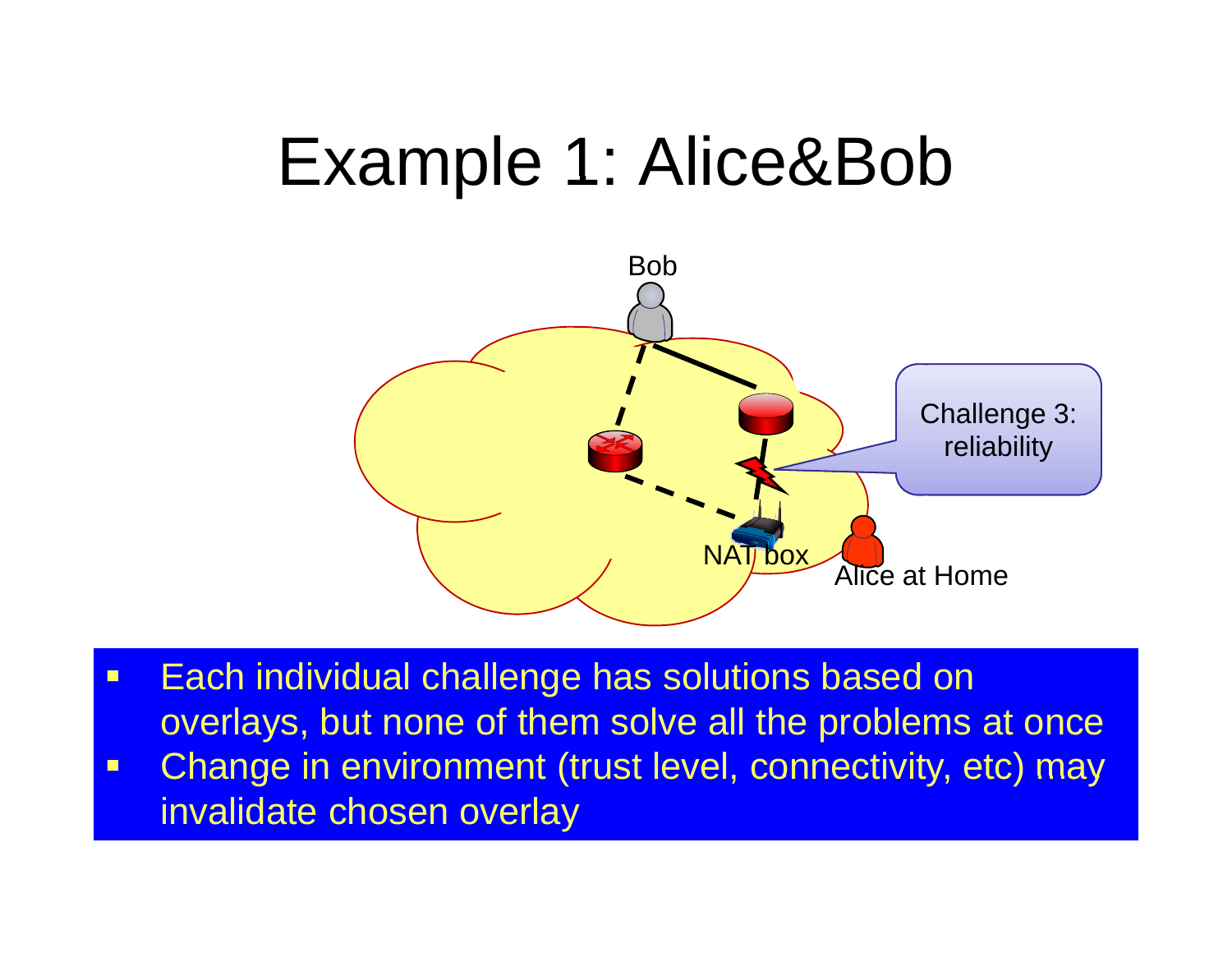# Example 1: Alice&Bob



- Each individual challenge has solutions based on overlays, but none of them solve all the problems at once
- $\blacksquare$ Change in environment (trust level, connectivity, etc) may invalidate chosen overlay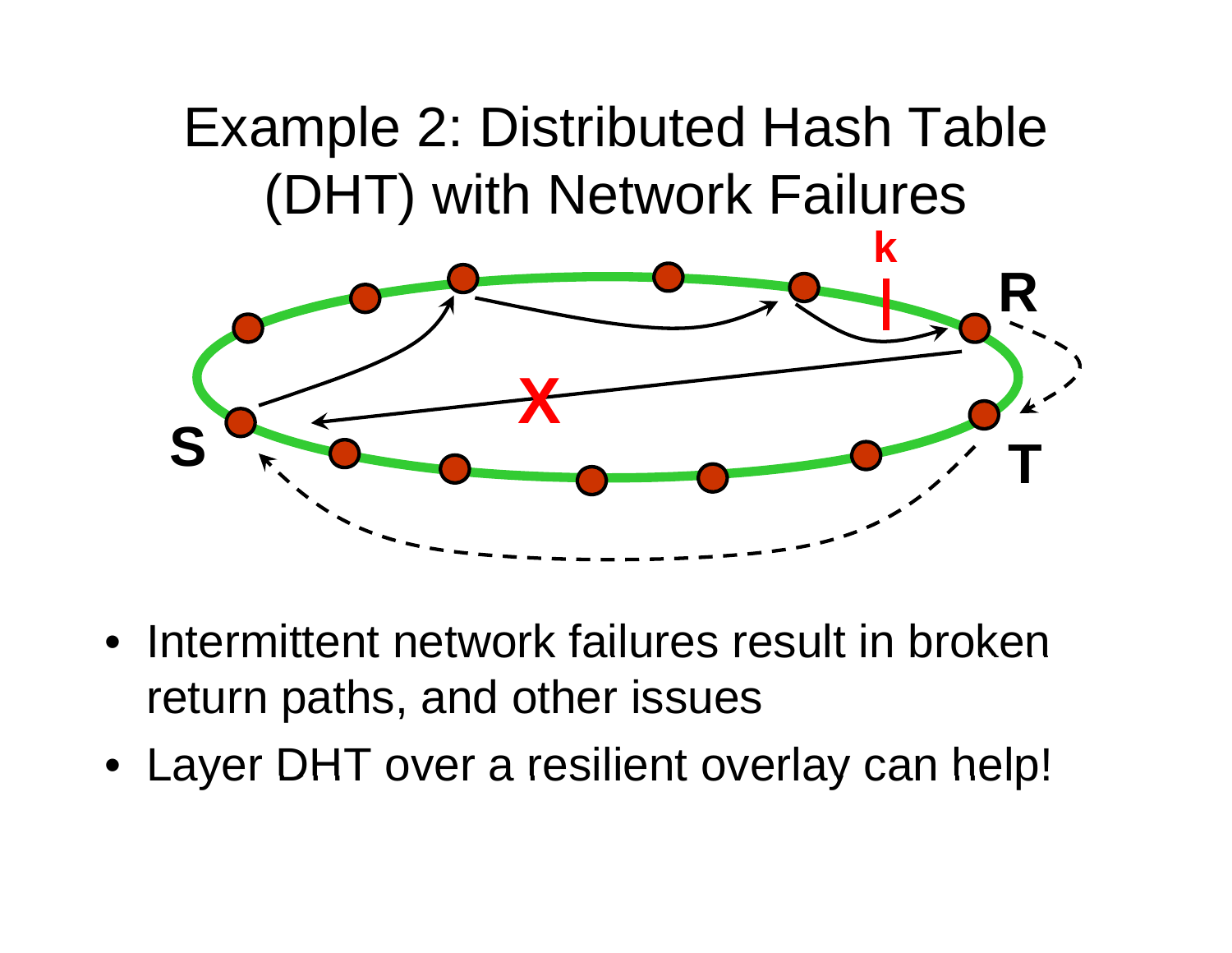### Example 2: Distributed Hash Table (DHT) with Network Failures



- Intermittent network failures result in broken return paths, and other issues
- Layer DHT over <sup>a</sup> resilient overlay can help!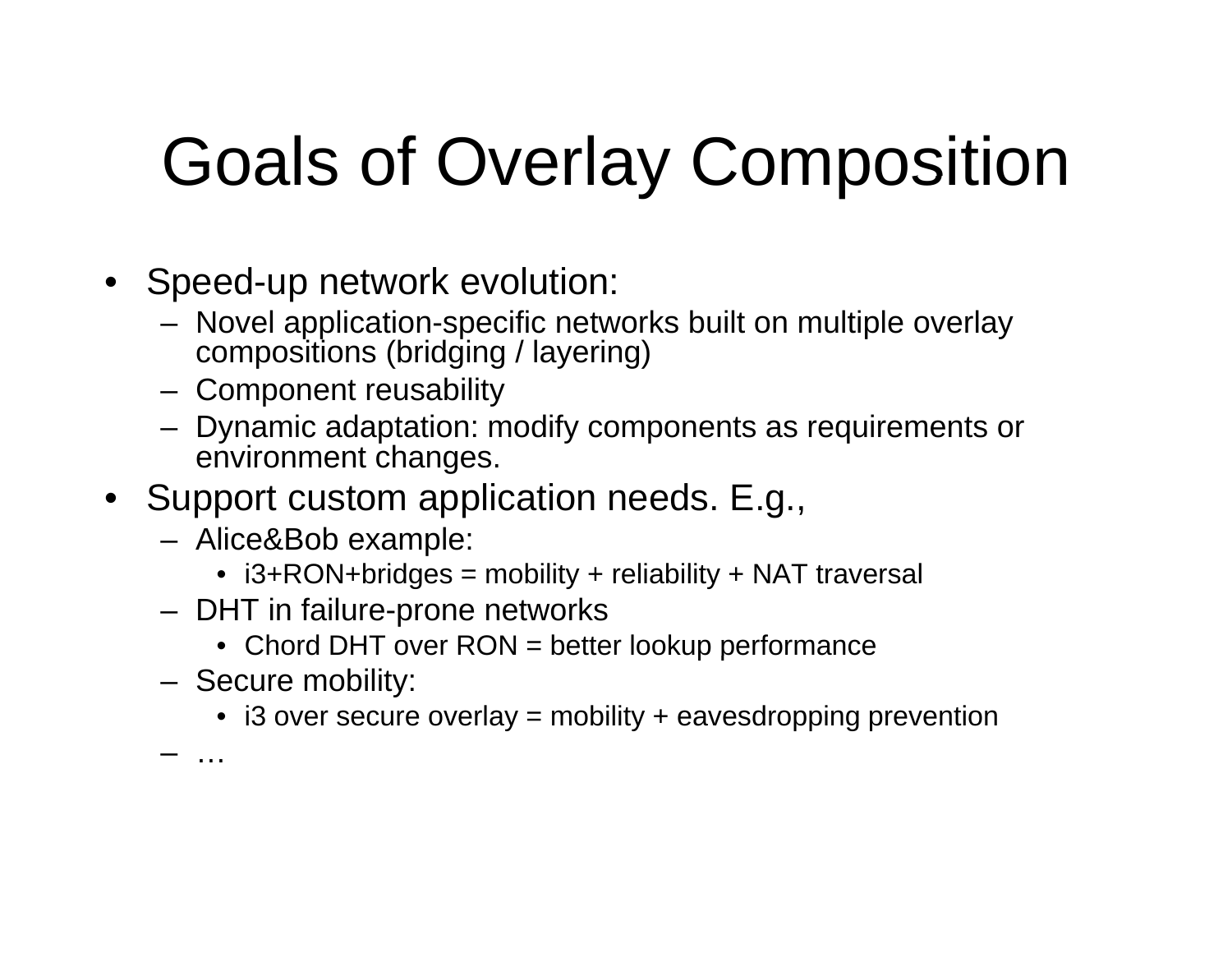# Goals of Overlay Composition

- S peed-u p network evolution:
	- Novel application-specific networks built on multiple overlay compositions (bridging / layering)
	- Component reusability
	- Dynamic adaptation: modify components as requirements or environment changes.
- Support custom application needs. E.g.,
	- Alice&Bob example:
		- i3+RON+bridges = mobility + reliability + NAT traversal
	- DHT in failure-prone networks
		- Chord DHT over RON = better lookup performance
	- Secure mobility:
		- i3 over secure overlay = mobility + eavesdropping prevention

…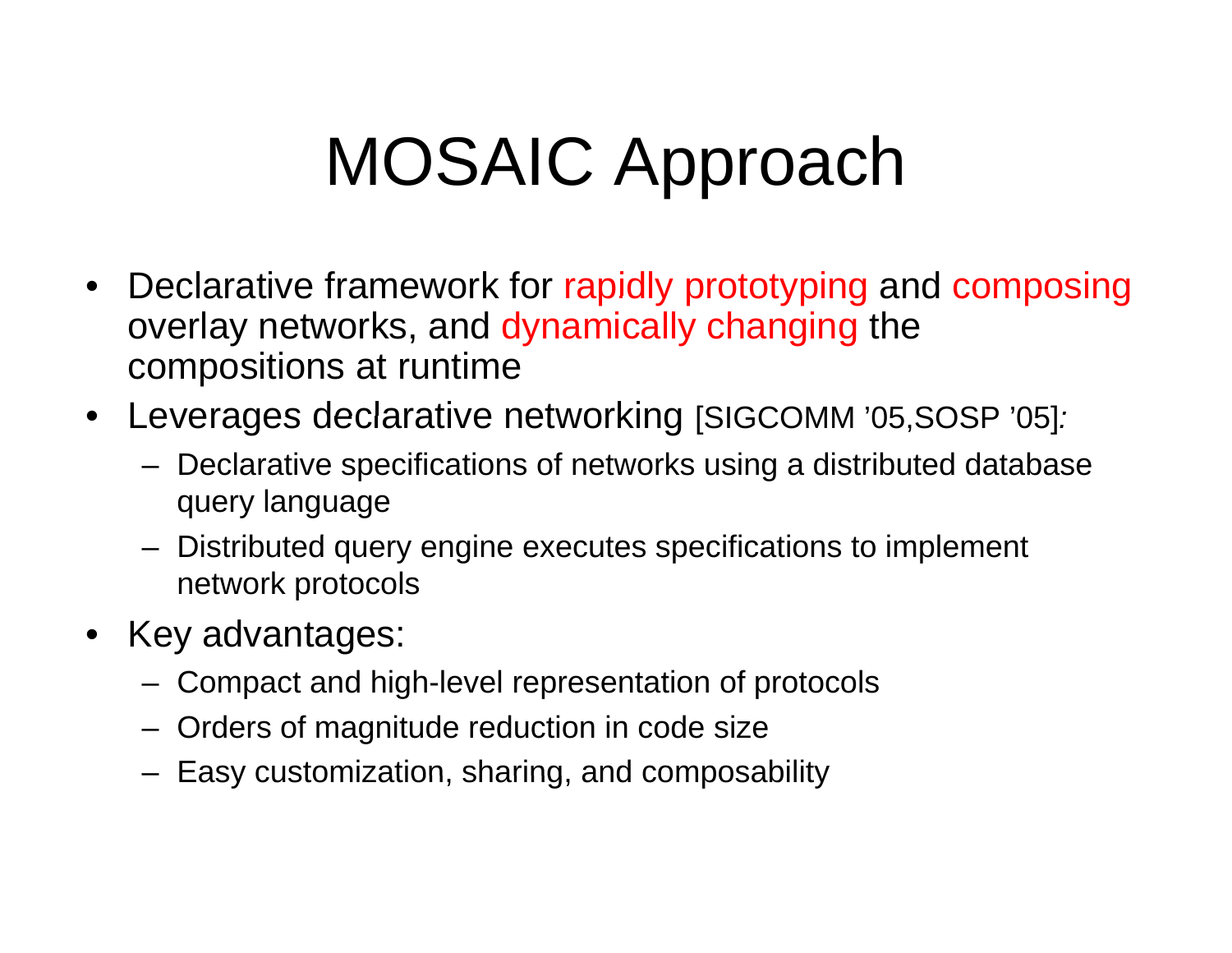# MOSAIC Approach

- Declarative framework for rapidly prototyping and composing overlay networks, and dynamically changing the compositions at runtime
- Leverages declarative networking [SIGCOMM '05,SOSP '05]*:* 
	- Declarative specifications of networks using a distributed database query language
	- $-$  Distributed query engine executes specifications to implement network protocols
- Key advantages:
	- Compact and high-level representation of protocols
	- Orders of magnitude reduction in code size
	- $-$  Easy customization, sharing, and composability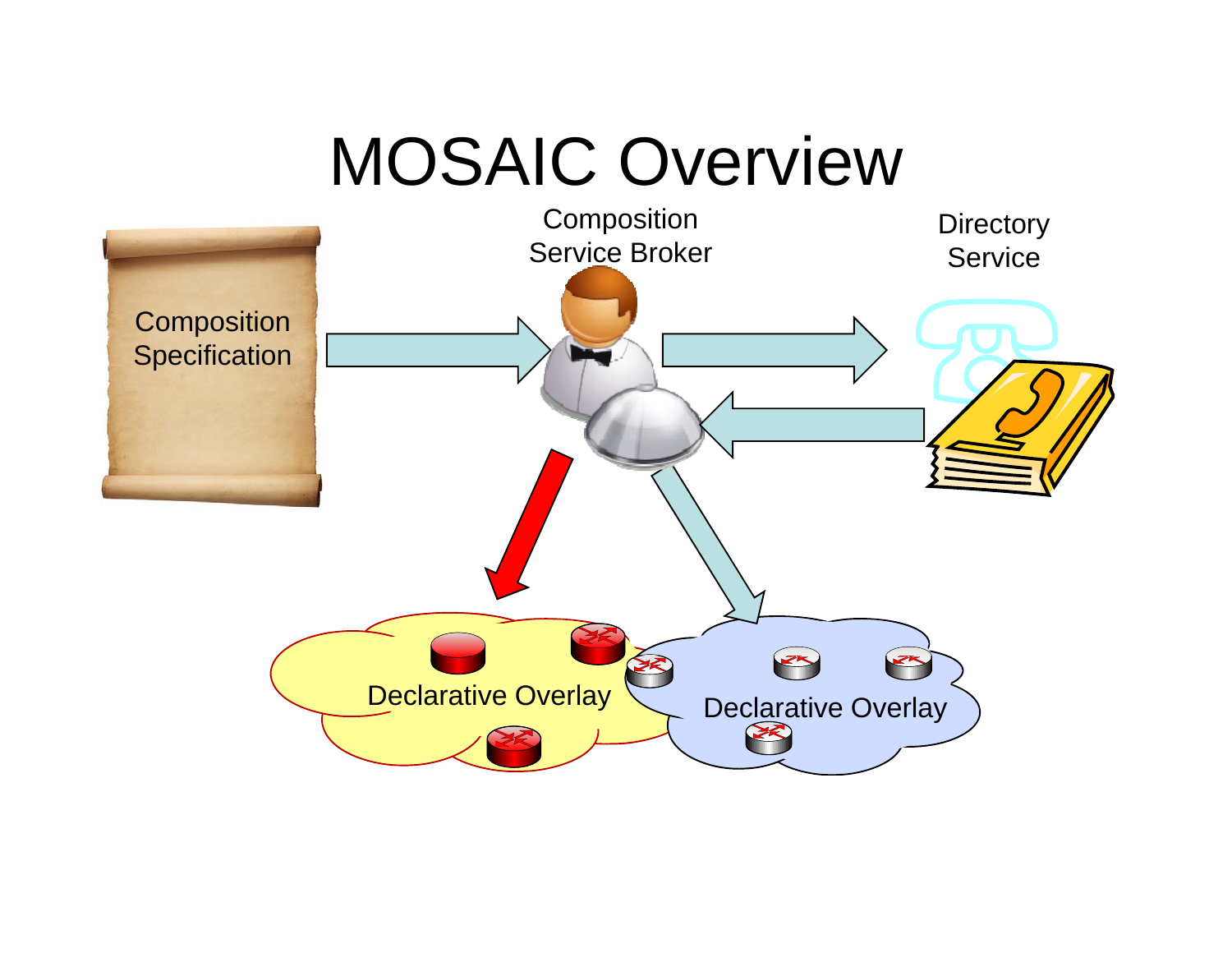### MOSAIC Overview

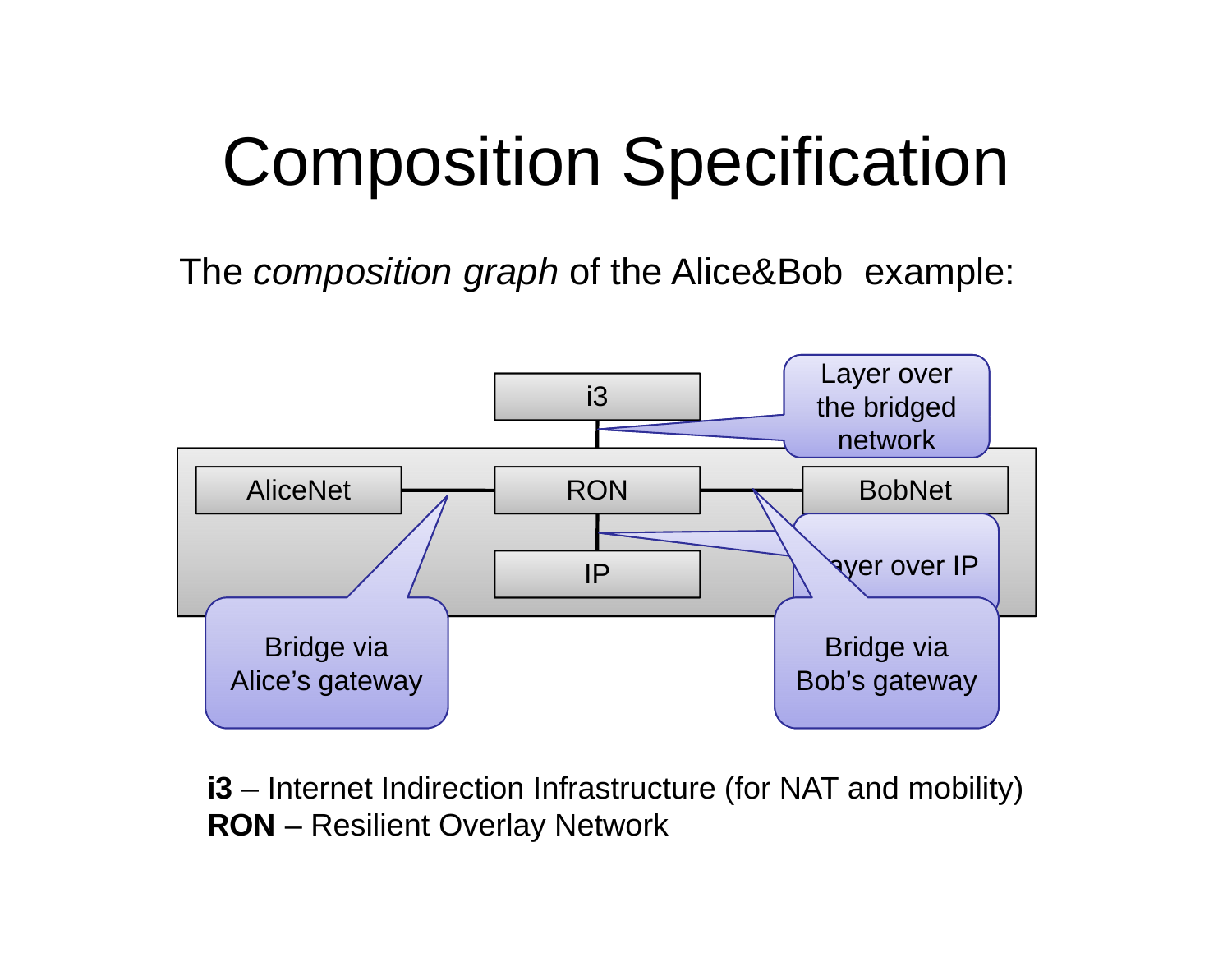# Composition Specification

The *composition graph* of the Alice&Bob example:



**i3** – $-$  Internet Indirection Infrastructure (for NAT and mobility) **RON** – Resilient Overlay Network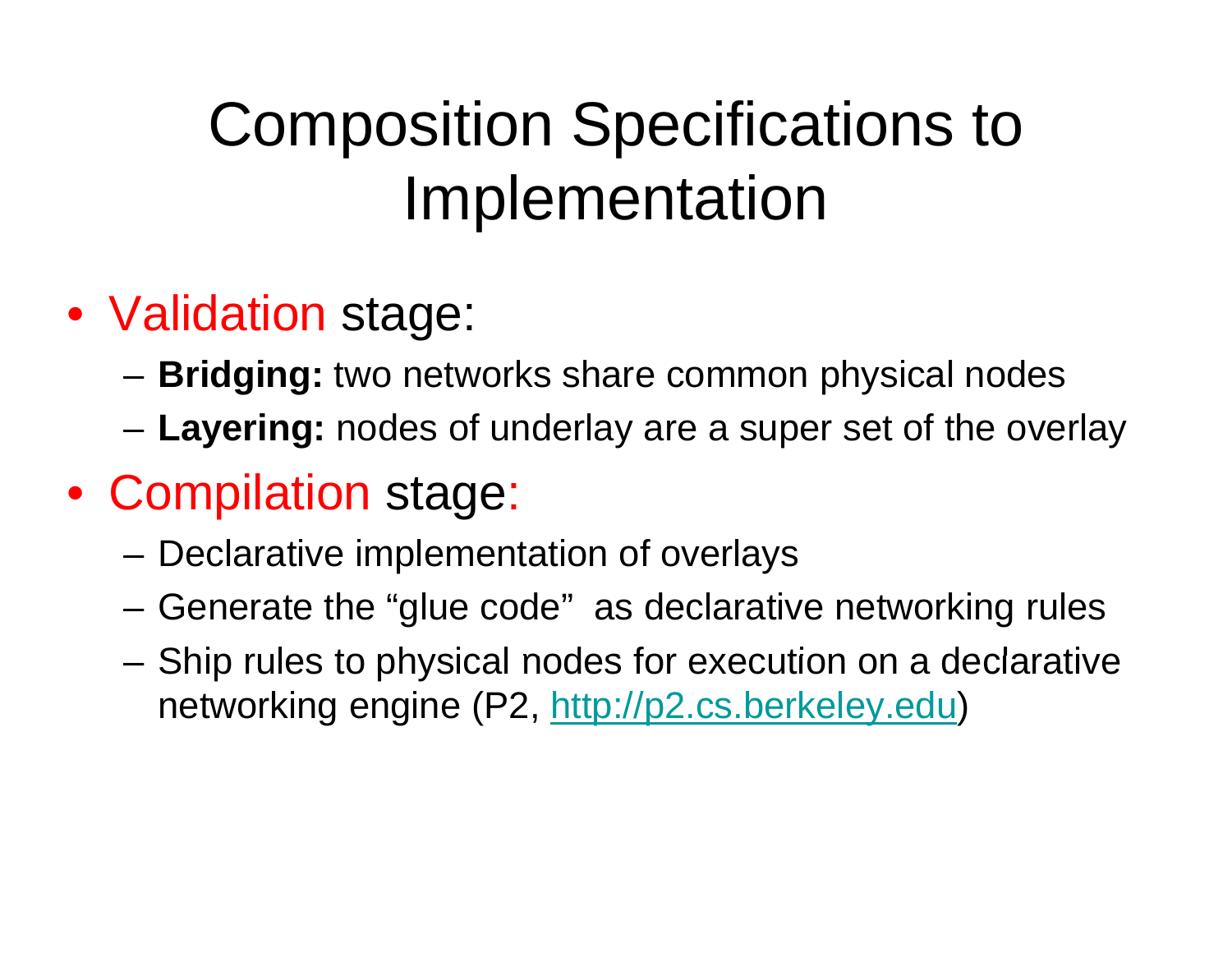## Composition Specifications to Implementation

- Validation stage:
	- **Bridging:** two networks share common physical nodes
	- Layering: nodes of underlay are a super set of the overlay
- Compilation stage:
	- –Declarative implementation of overlays
	- –Generate the "glue code" as declarative networking rules
	- – $-$  Ship rules to physical nodes for execution on a declarative networking engine (P2, http://p2.cs.berkeley.edu)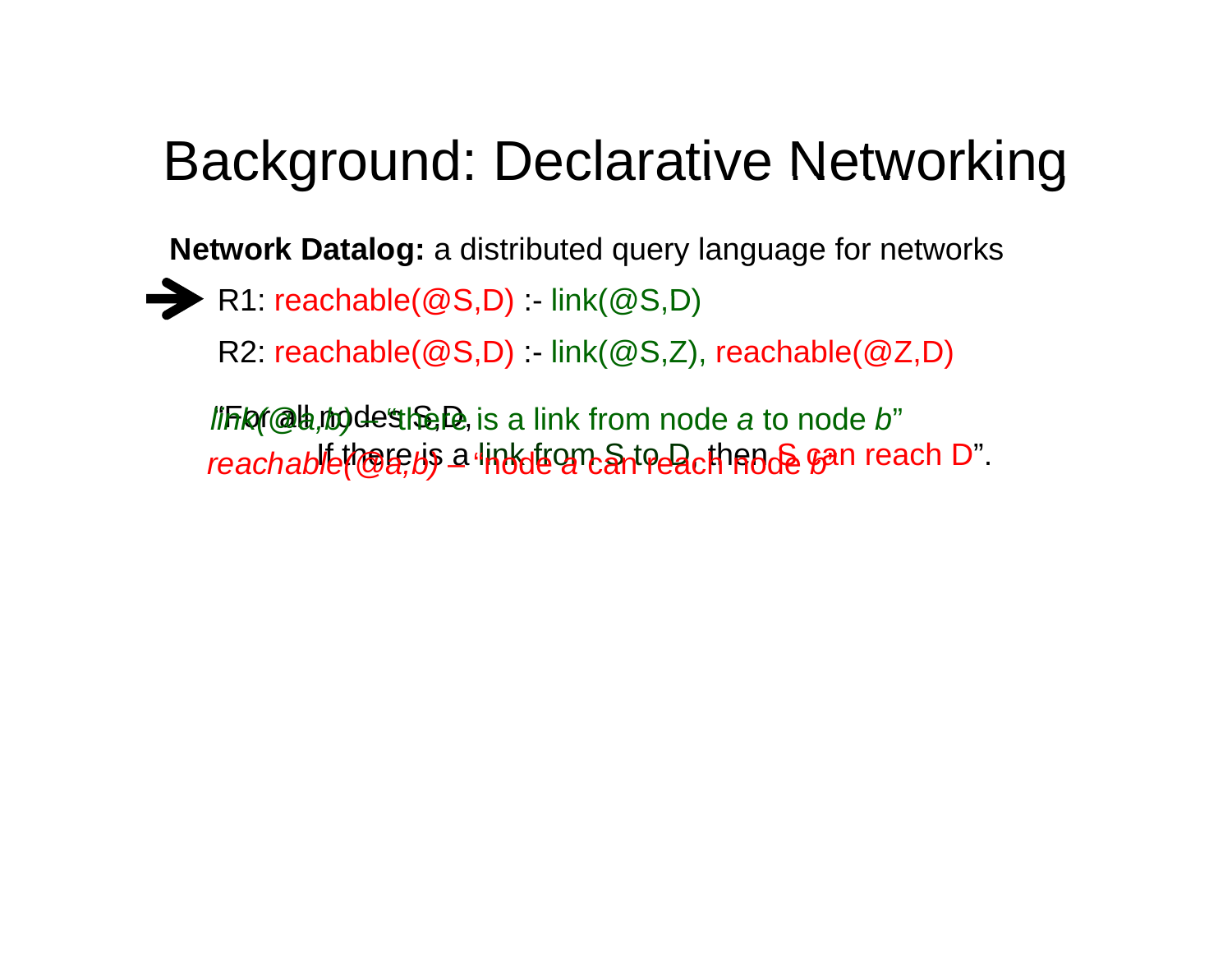### Background: Declarative Networking

**Network Datalog:** a distributed query language for networks

- R1: reachable(@S D) : link(@S D) reachable(@S,D):- link(@S,D)
	- R2: reachable(@S,D) :- link(@S,Z), reachable(@Z,D)

*l'iFis(@b,rio)de"the De,* is a link from node *a* to node *b*" If there is a link from S to D, then S can reach D". *reachable(@a,b)* – "node *a* can reach node *b*"#ethc@, is a link from node *a* to node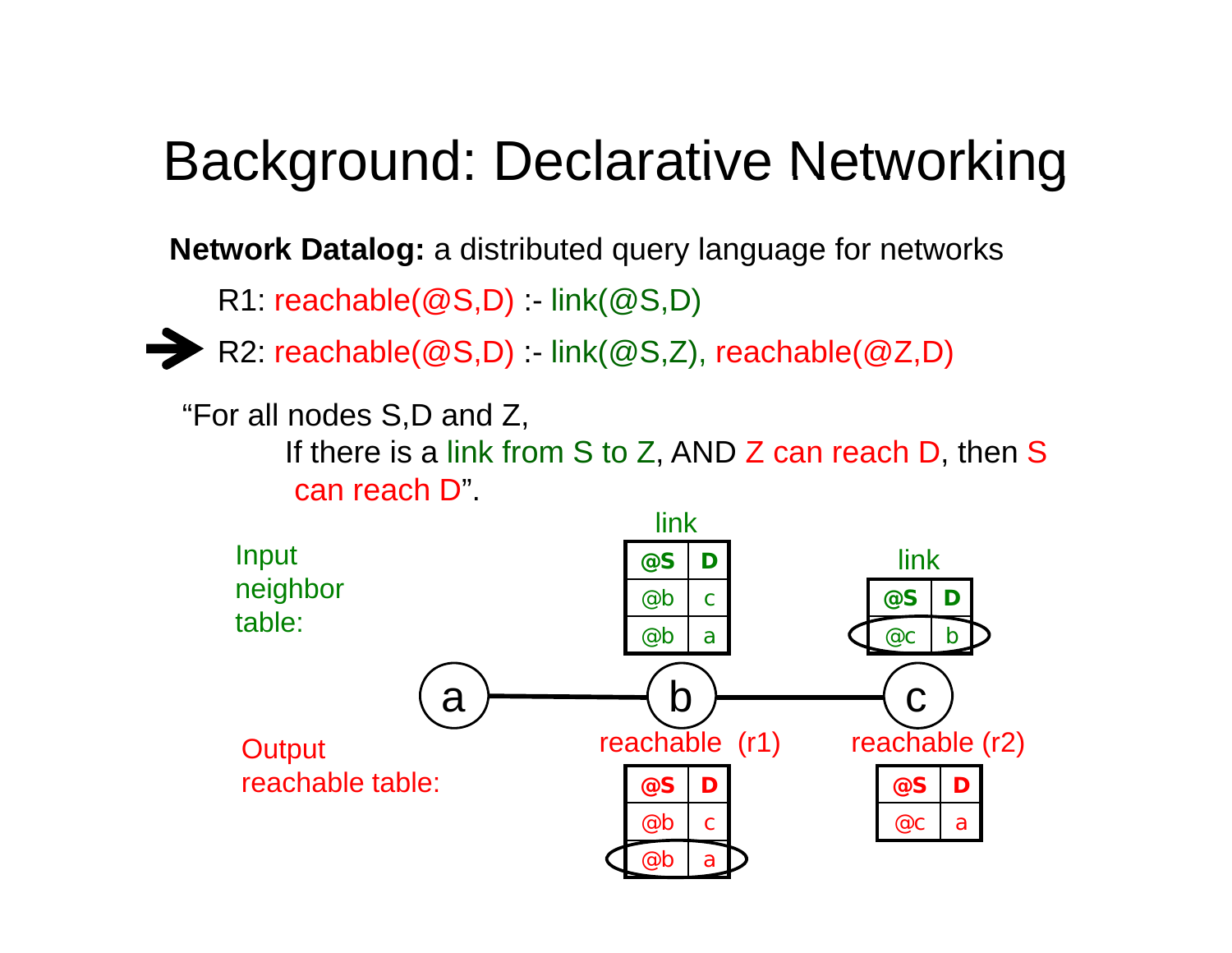#### Background: Declarative Networking

**Network Datalog:** a distributed query language for networks

R1:  $\mathsf{reachable}(\mathcal{Q}\mathsf{S}\mathsf{,}\mathsf{D})$  :- link $(\mathcal{Q}\mathsf{S}\mathsf{,}\mathsf{D})$ 



R2: reachable(@S,D) :- link(@S,Z), reachable(@Z,D) R1: reachable(@S,D) :- link(@S,D)<br>▶ R2: reachable(@S,D) :- link(@S,Z)<br>"For all nodes S,D and Z,

For all nodes  $\operatorname{\mathsf{S}}\nolimits\mathsf{D}$  and Z,

If there is a link from S to Z, AND Z can reach D, then S can reach D".

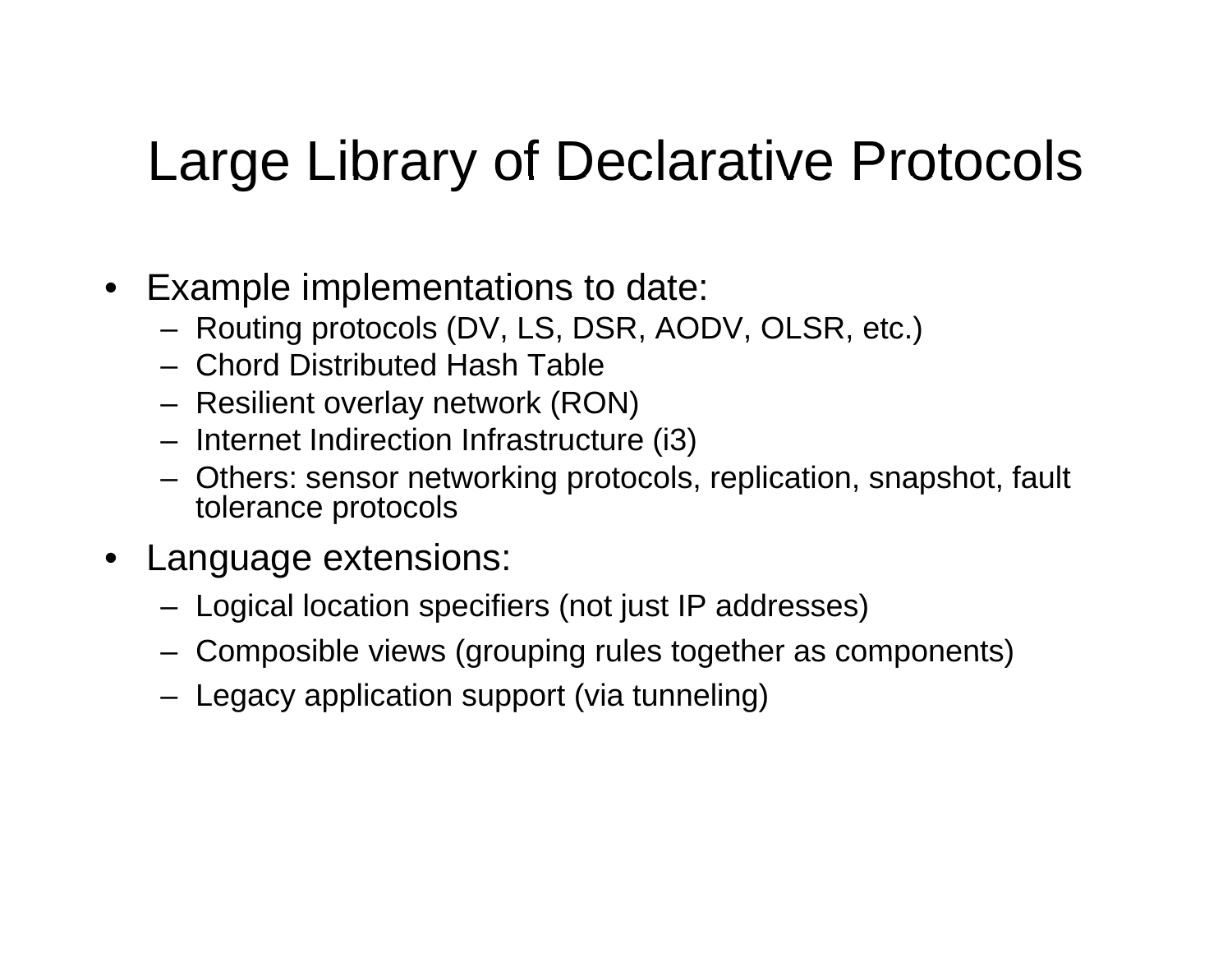#### Large Library of Declarative Protocols

- Example implementations to date:
	- Routing protocols (DV, LS, DSR, AODV, OLSR, etc.)
	- Chord Distributed Hash Table
	- Resilient overlay network (RON)
	- Internet Indirection Infrastructure (i3)
	- Others: sensor networking protocols, replication, snapshot, fault tolerance protocols
- Language extensions:
	- Logical location specifiers (not just IP addresses)
	- Composible views (grouping rules together as components)
	- Legacy application support (via tunneling)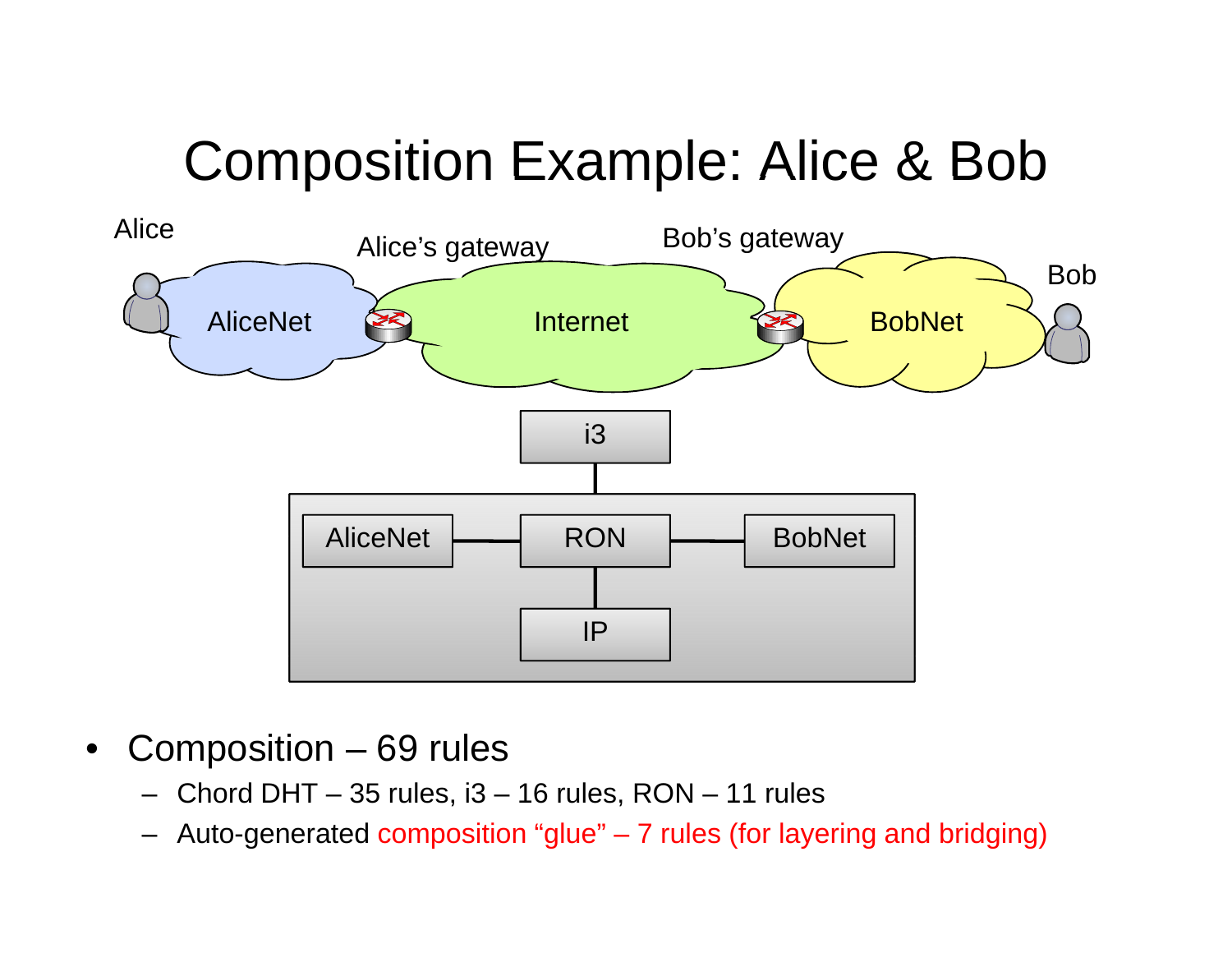### Composition Example: Alice & Bob



- $\bullet$  Composition – 69 rules
	- Chord DHT  $-$  35 rules, i3  $-$  16 rules, RON  $-$  11 rules
	- Auto-generated composition "glue" 7 rules (for layering and bridging)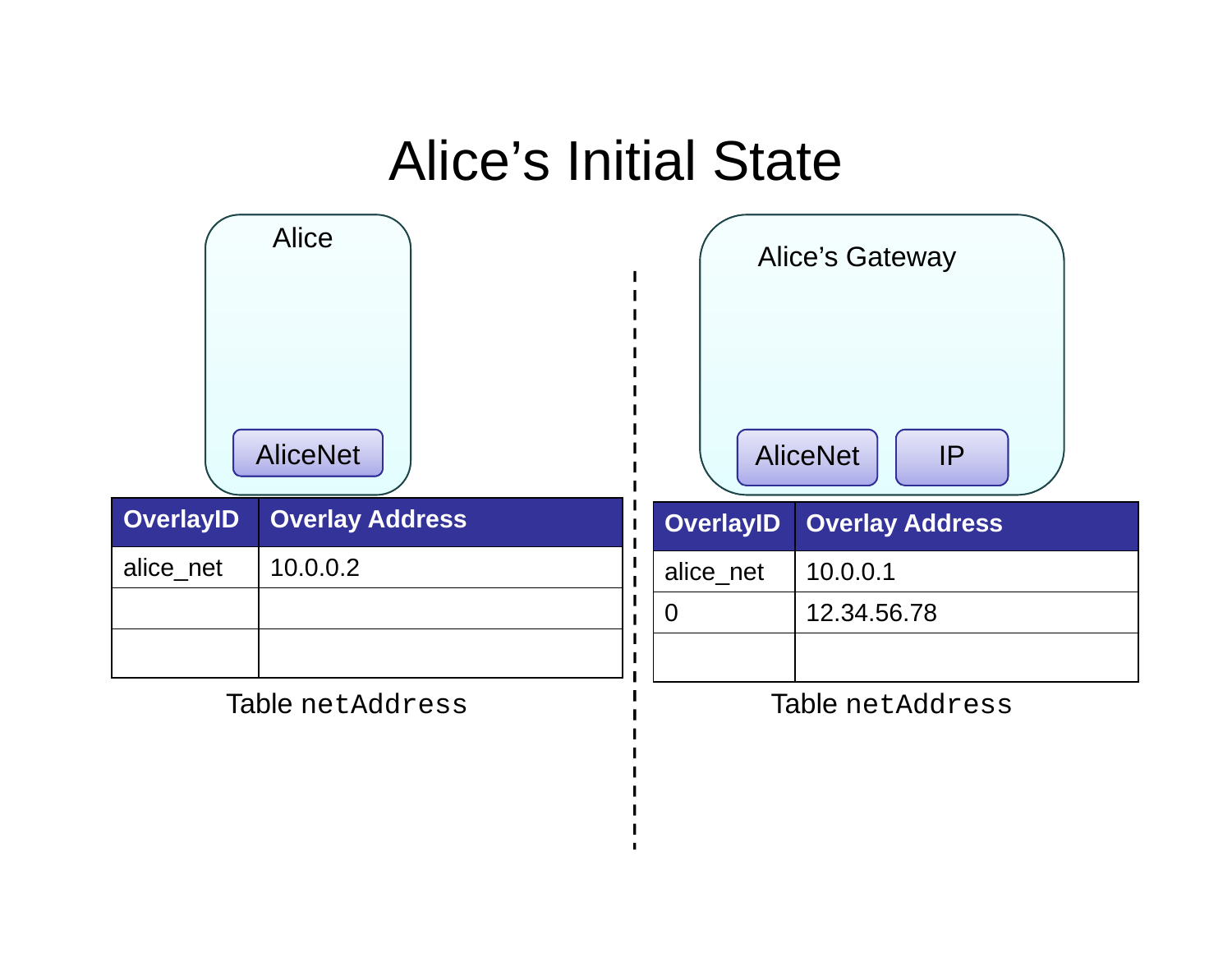#### Alice's Initial State

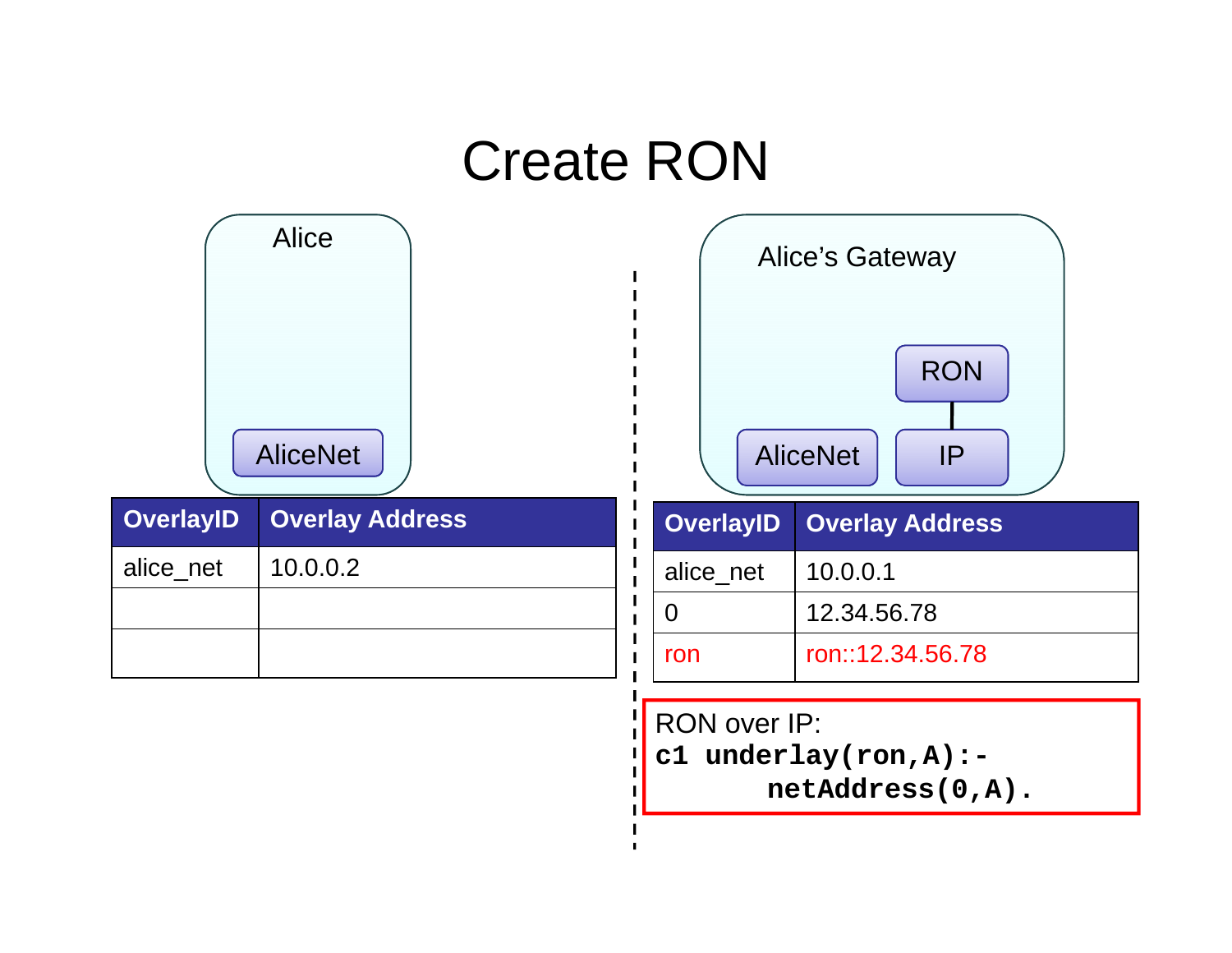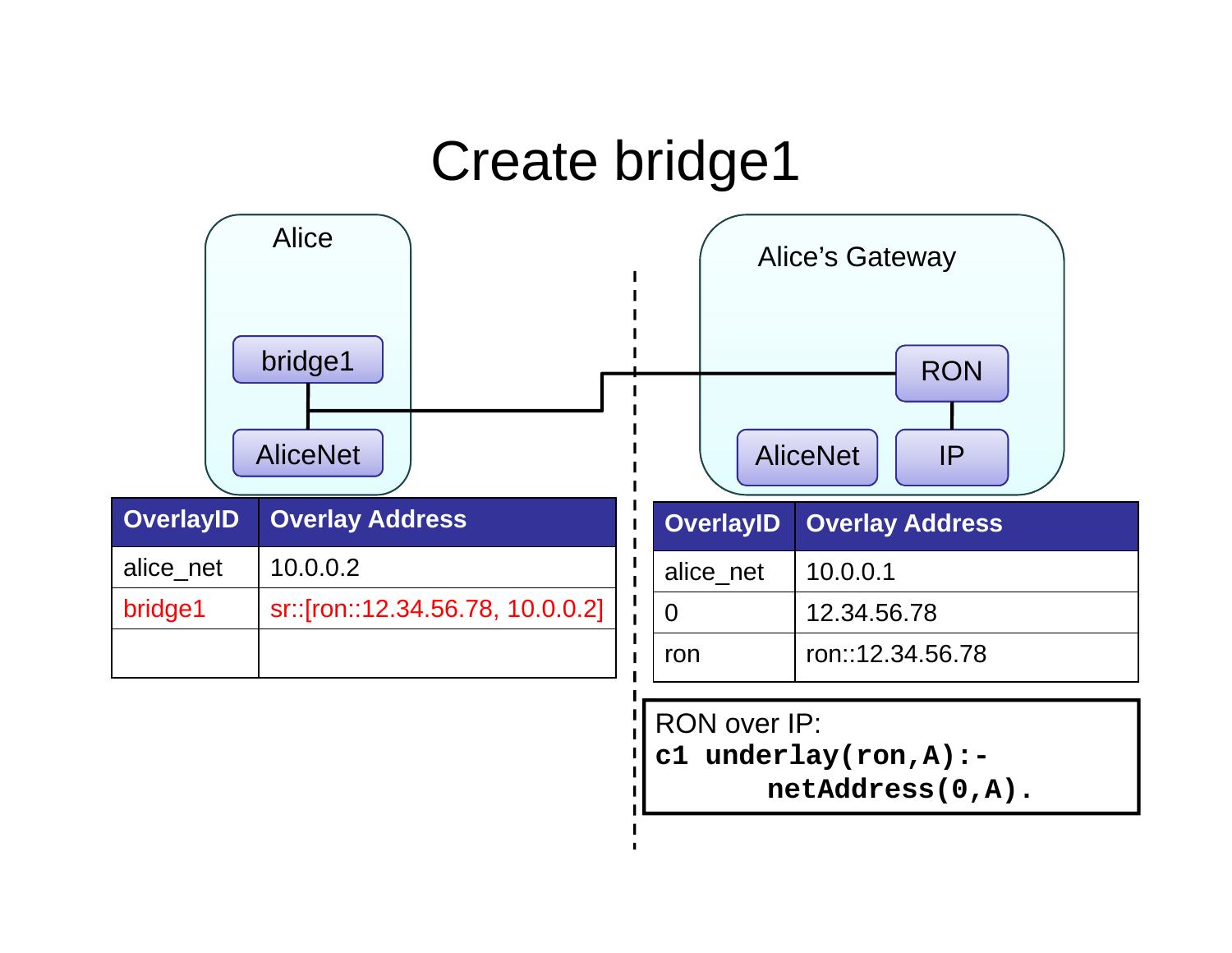#### Create bridge1



| c1 underlay(ron, $A$ ) : - |
|----------------------------|
| netAddress(0, A).          |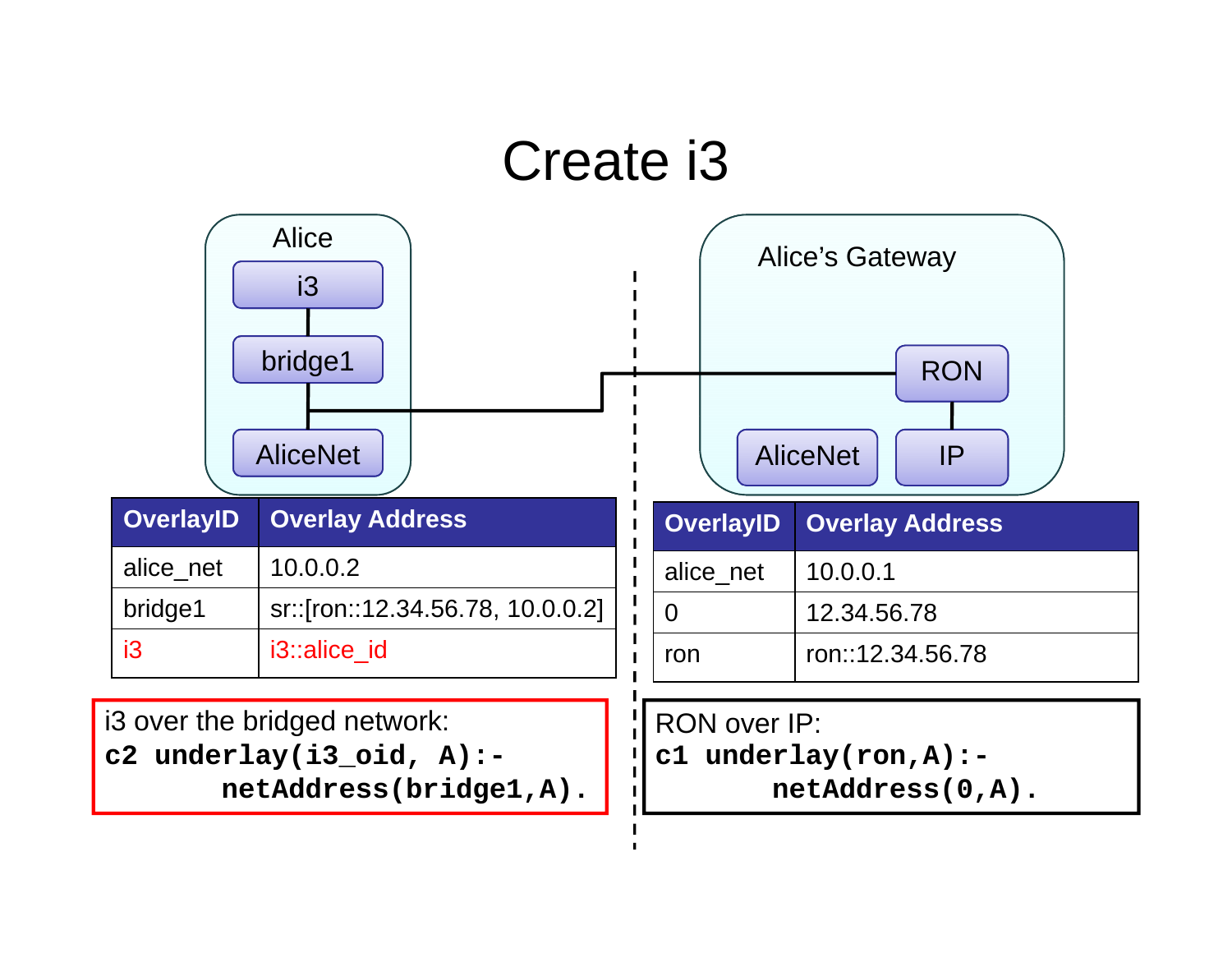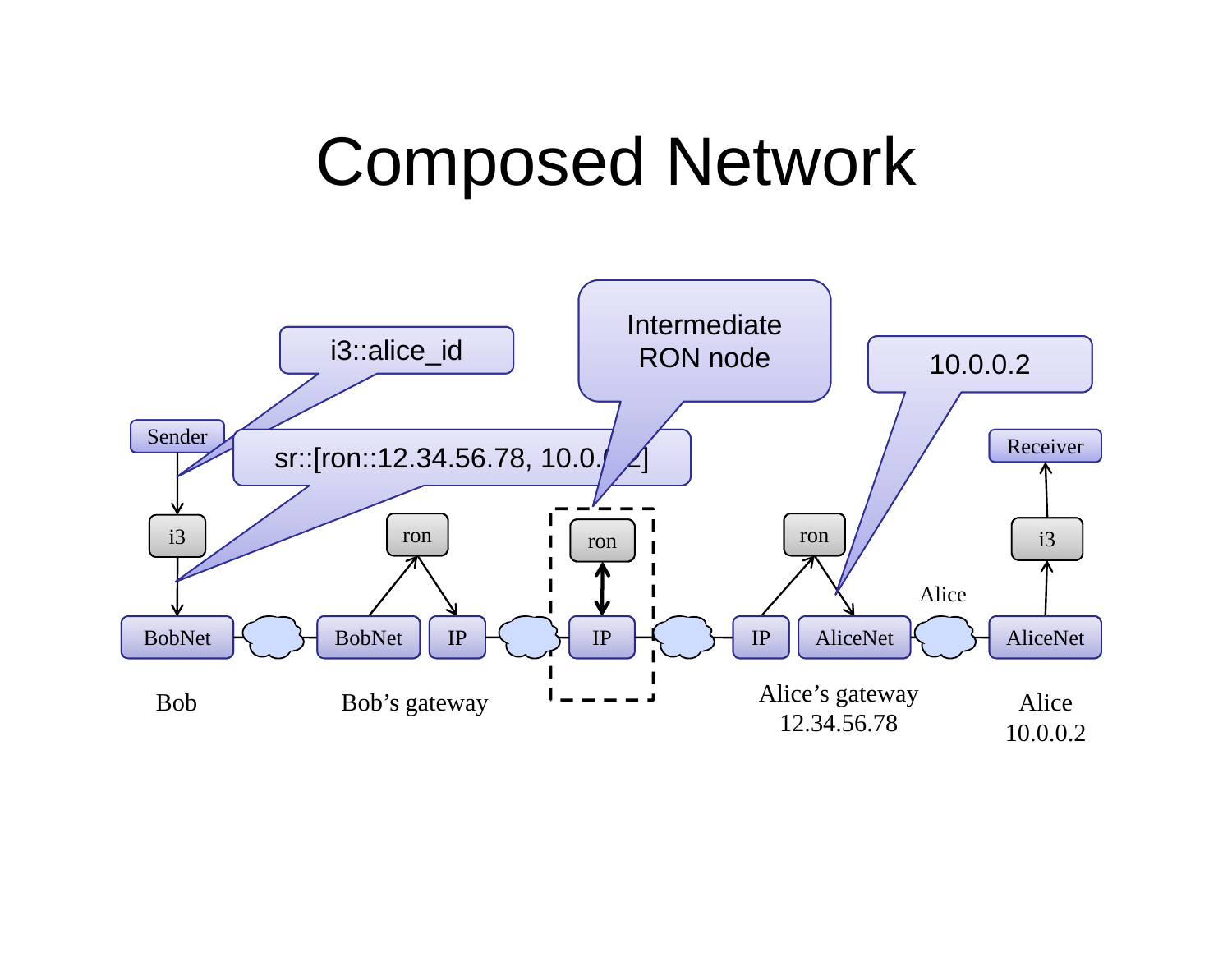## Composed Network

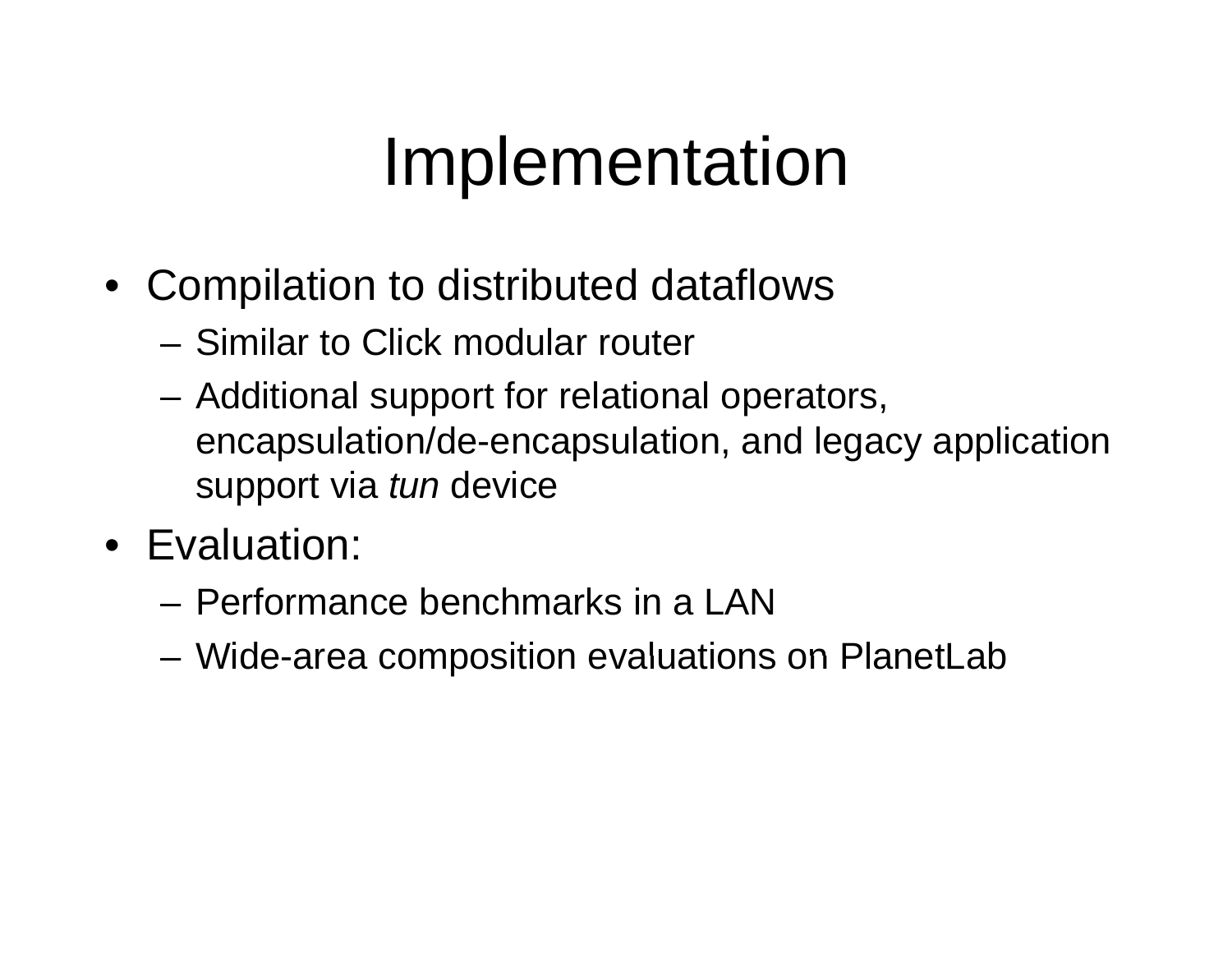# Implementation

- Compilation to distributed dataflows
	- Similar to Click modular router
	- Additional support for relational operators, encapsulation/de-encapsulation, and legacy application support via *tun* device
- Evaluation:
	- Performance benchmarks in a LAN
	- Wide-area composition evaluations on PlanetLab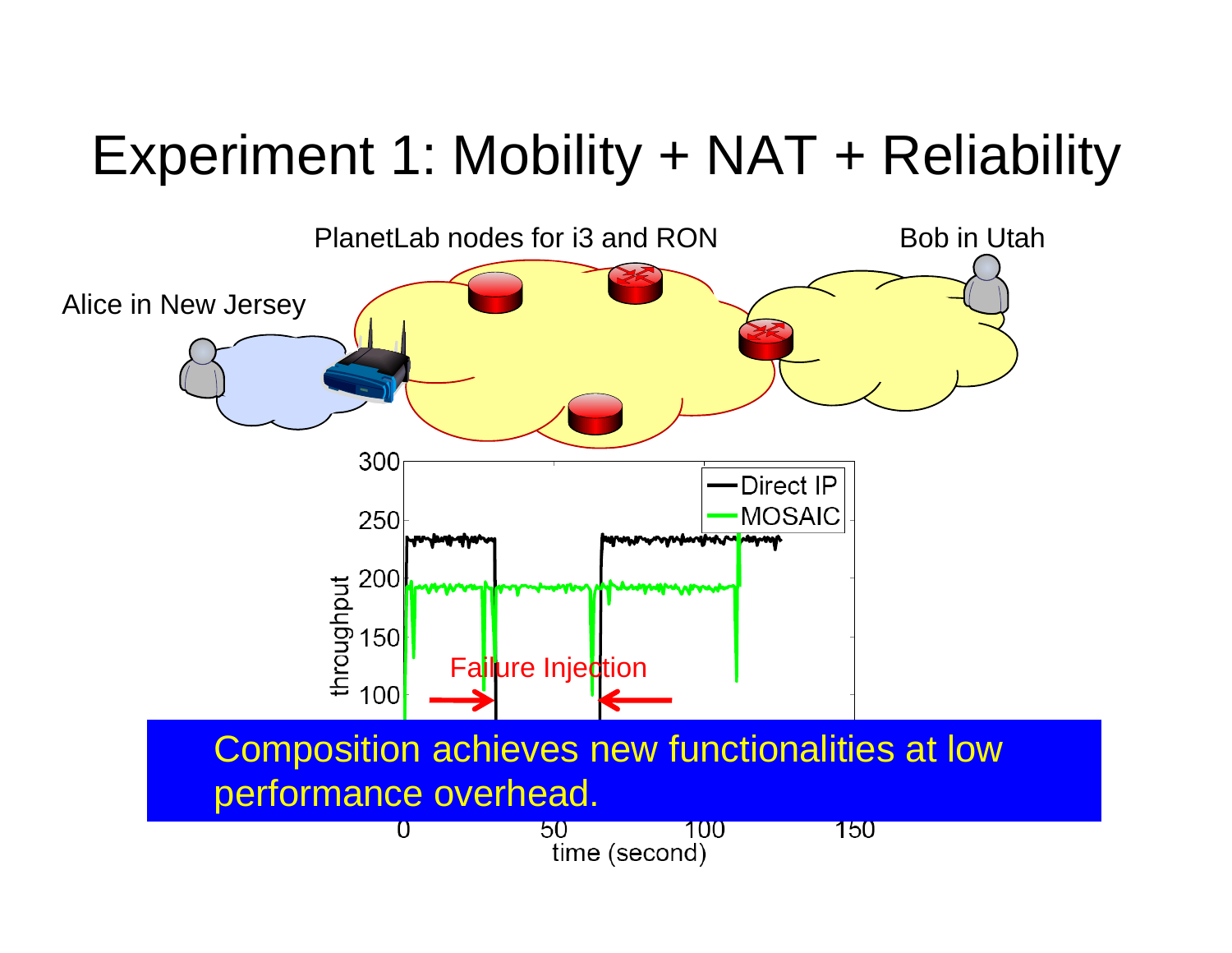### Experiment 1: Mobility + NAT + Reliability

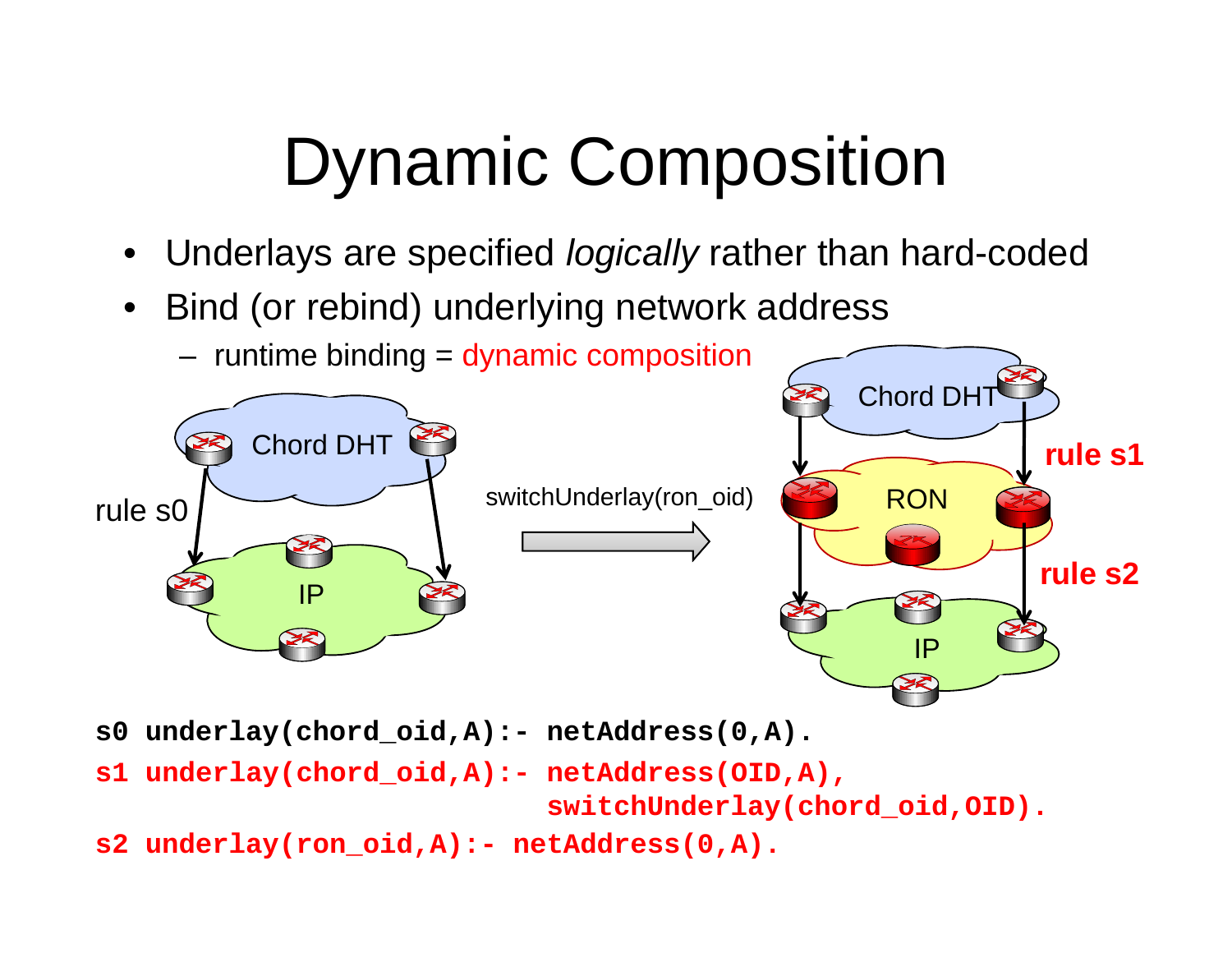# Dynamic Composition

- •Underlays are specified *logically* rather than hard-coded
- • $\bullet~$  Bind (or rebind) underlying network address
	- runtime binding = dynamic composition



- **s0 underlay(chord\_oid,A):- netAddress(0,A).**
- **s1 underlay(chord oid A): - netAddress(OID A) underlay(chord\_oid , ,A), switchUnderlay(chord\_oid,OID).**

**s2 underlay(ron\_oid,A):- netAddress(0,A).**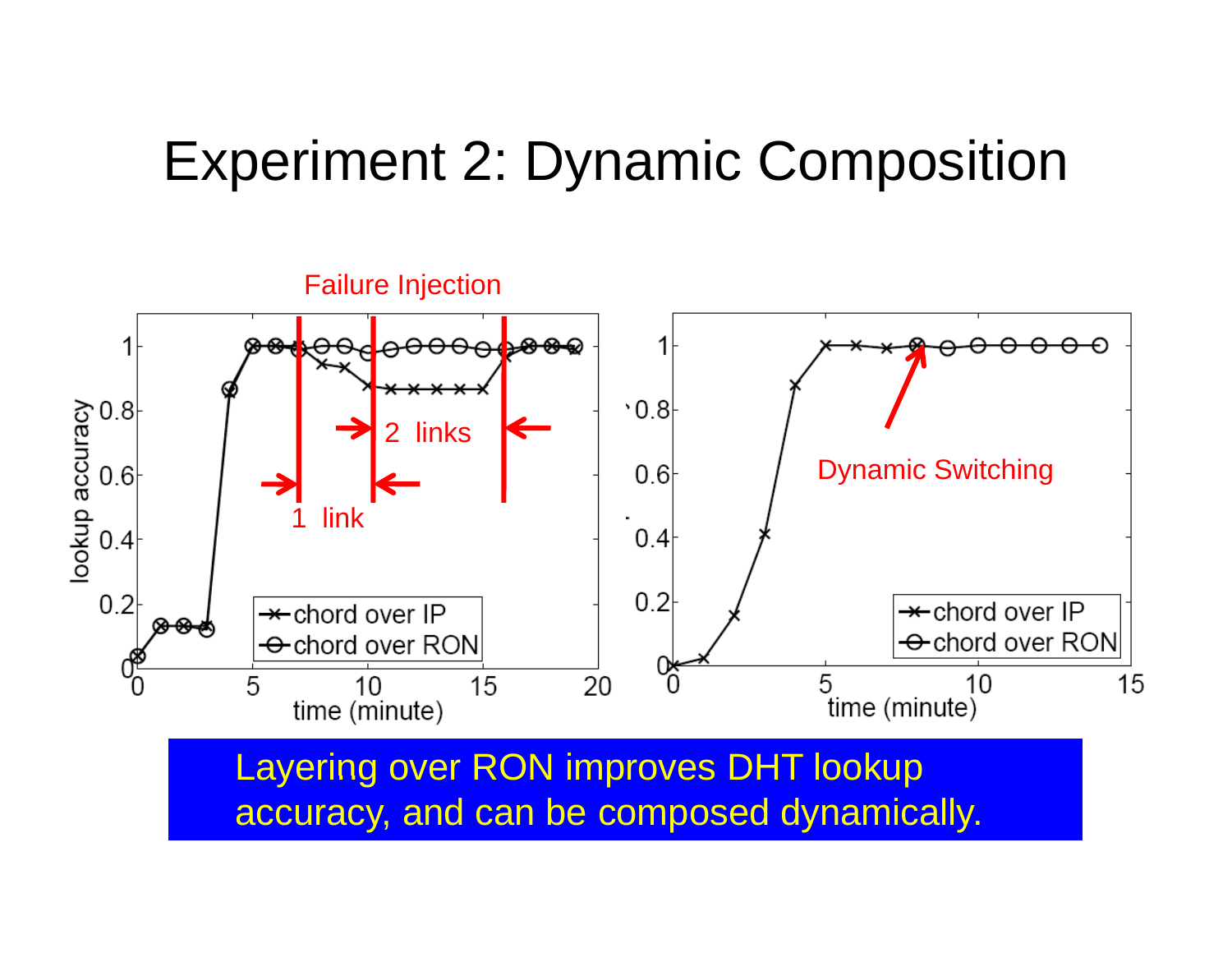#### Experiment 2: Dynamic Composition



Layering over RON improves DHT lookup accuracy, and can be composed dynamically.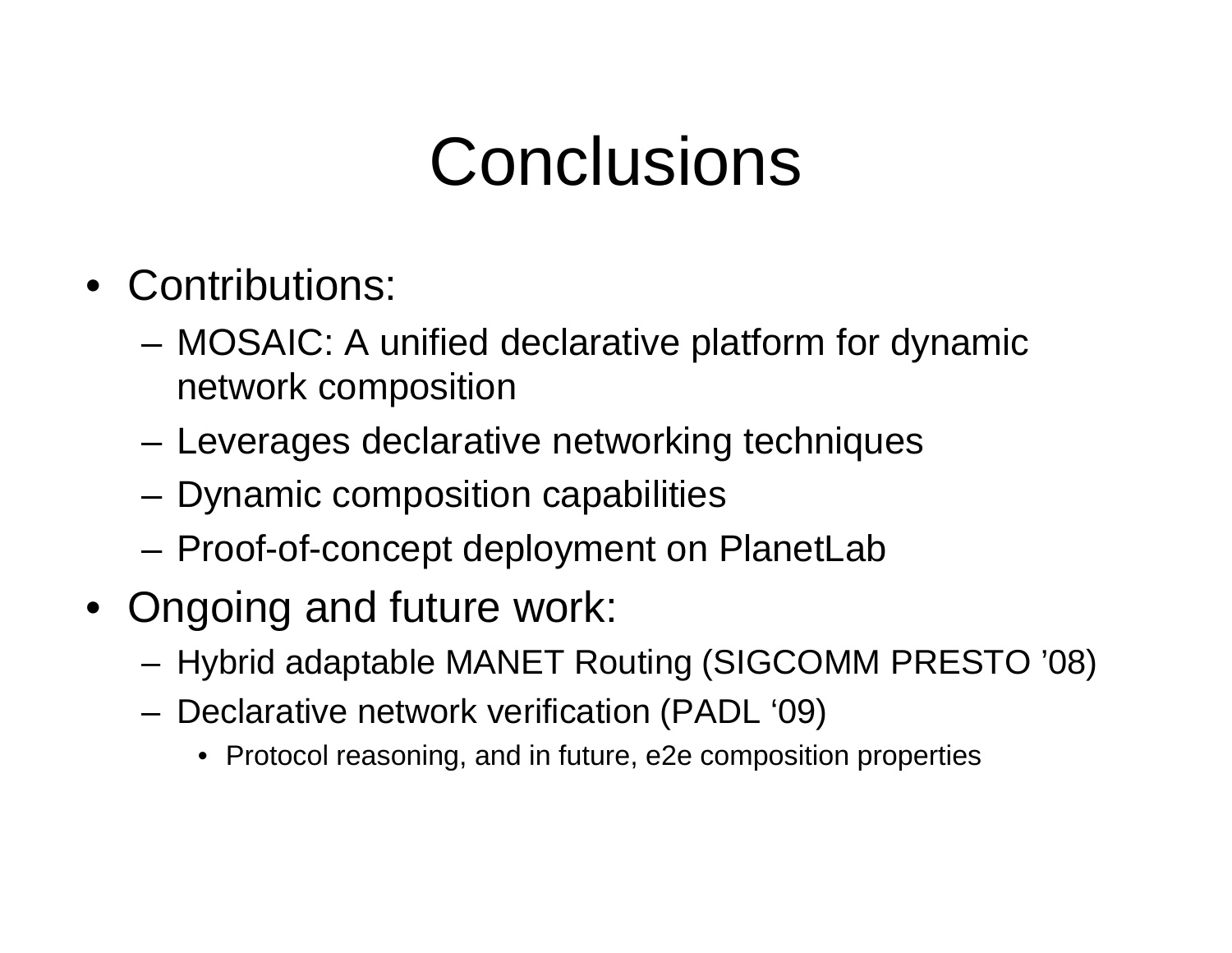# Conclusions

- Contributions:
	- – MOSAIC: A unified declarative platform for dynamic network composition
	- Leverages declarative networking techniques
	- Dynamic composition capabilities
	- Proof-of-concept deployment on PlanetLab
- Ongoing and future work:
	- –– Hybrid adaptable MANET Routing (SIGCOMM PRESTO '08)
	- – Declarative network verification (PADL '09)
		- Protocol reasoning, and in future, e2e composition properties